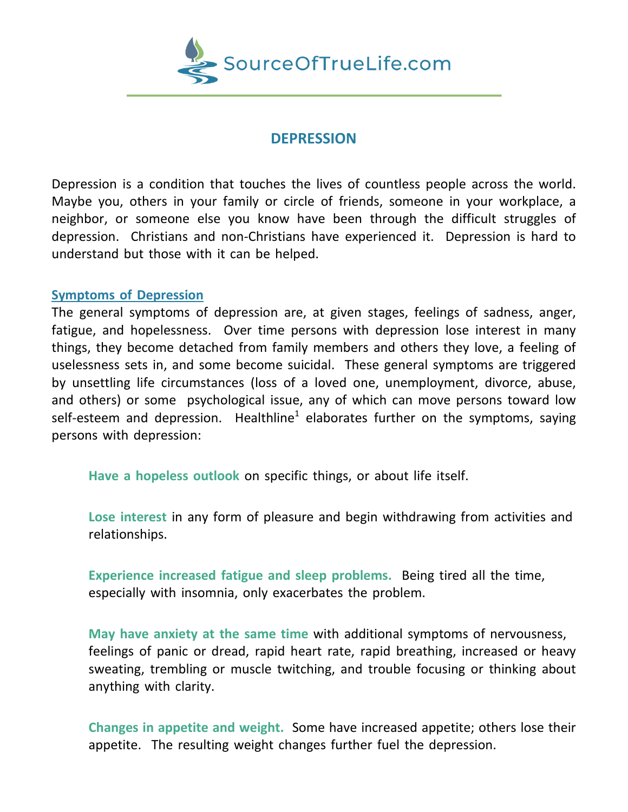

# **DEPRESSION**

Depression is a condition that touches the lives of countless people across the world. Maybe you, others in your family or circle of friends, someone in your workplace, a neighbor, or someone else you know have been through the difficult struggles of depression. Christians and non-Christians have experienced it. Depression is hard to understand but those with it can be helped.

# **Symptoms of Depression**

The general symptoms of depression are, at given stages, feelings of sadness, anger, fatigue, and hopelessness. Over time persons with depression lose interest in many things, they become detached from family members and others they love, a feeling of uselessness sets in, and some become suicidal. These general symptoms are triggered by unsettling life circumstances (loss of a loved one, unemployment, divorce, abuse, and others) or some psychological issue, any of which can move persons toward low self-esteem and depression. Healthline<sup>1</sup> elaborates further on the symptoms, saying persons with depression:

**Have a hopeless outlook** on specific things, or about life itself.

**Lose interest** in any form of pleasure and begin withdrawing from activities and relationships.

**Experience increased fatigue and sleep problems.** Being tired all the time, especially with insomnia, only exacerbates the problem.

**May have anxiety at the same time** with additional symptoms of nervousness, feelings of panic or dread, rapid heart rate, rapid breathing, increased or heavy sweating, trembling or muscle twitching, and trouble focusing or thinking about anything with clarity.

**Changes in appetite and weight.** Some have increased appetite; others lose their appetite. The resulting weight changes further fuel the depression.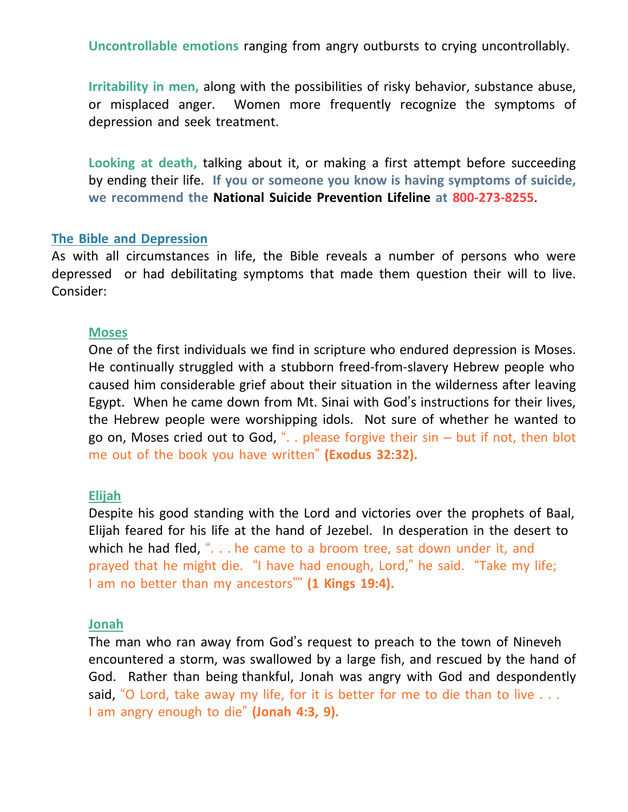**Uncontrollable emotions** ranging from angry outbursts to crying uncontrollably.

**Irritability in men,** along with the possibilities of risky behavior, substance abuse, or misplaced anger. Women more frequently recognize the symptoms of depression and seek treatment.

**Looking at death,** talking about it, or making a first attempt before succeeding by ending their life. **If you or someone you know is having symptoms of suicide, we recommend the National Suicide Prevention Lifeline at 800-273-8255**.

#### **The Bible and Depression**

As with all circumstances in life, the Bible reveals a number of persons who were depressed or had debilitating symptoms that made them question their will to live. Consider:

#### **Moses**

One of the first individuals we find in scripture who endured depression is Moses. He continually struggled with a stubborn freed-from-slavery Hebrew people who caused him considerable grief about their situation in the wilderness after leaving Egypt. When he came down from Mt. Sinai with God's instructions for their lives, the Hebrew people were worshipping idols. Not sure of whether he wanted to go on, Moses cried out to God, " $\ldots$  please forgive their sin – but if not, then blot me out of the book you have written" **(Exodus 32:32).**

#### **Elijah**

Despite his good standing with the Lord and victories over the prophets of Baal, Elijah feared for his life at the hand of Jezebel. In desperation in the desert to which he had fled, ". . . he came to a broom tree, sat down under it, and prayed that he might die. "I have had enough, Lord," he said. "Take my life; I am no better than my ancestors"" **(1 Kings 19:4).**

### **Jonah**

The man who ran away from God's request to preach to the town of Nineveh encountered a storm, was swallowed by a large fish, and rescued by the hand of God. Rather than being thankful, Jonah was angry with God and despondently said, "O Lord, take away my life, for it is better for me to die than to live  $\dots$ I am angry enough to die" **(Jonah 4:3, 9).**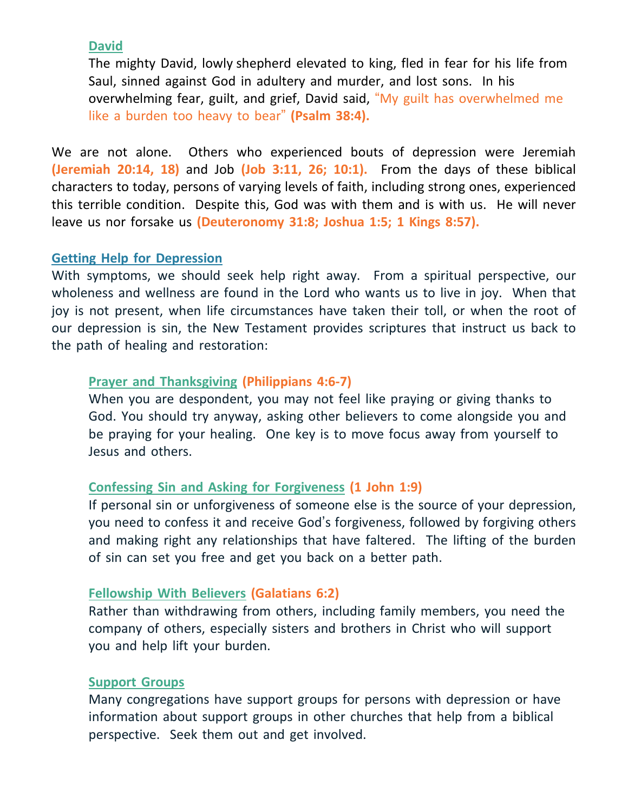# **David**

The mighty David, lowly shepherd elevated to king, fled in fear for his life from Saul, sinned against God in adultery and murder, and lost sons. In his overwhelming fear, guilt, and grief, David said, "My guilt has overwhelmed me like a burden too heavy to bear" **(Psalm 38:4).**

We are not alone. Others who experienced bouts of depression were Jeremiah **(Jeremiah 20:14, 18)** and Job **(Job 3:11, 26; 10:1).** From the days of these biblical characters to today, persons of varying levels of faith, including strong ones, experienced this terrible condition. Despite this, God was with them and is with us. He will never leave us nor forsake us **(Deuteronomy 31:8; Joshua 1:5; 1 Kings 8:57).**

# **Getting Help for Depression**

With symptoms, we should seek help right away. From a spiritual perspective, our wholeness and wellness are found in the Lord who wants us to live in joy. When that joy is not present, when life circumstances have taken their toll, or when the root of our depression is sin, the New Testament provides scriptures that instruct us back to the path of healing and restoration:

# **Prayer and Thanksgiving (Philippians 4:6-7)**

When you are despondent, you may not feel like praying or giving thanks to God. You should try anyway, asking other believers to come alongside you and be praying for your healing. One key is to move focus away from yourself to Jesus and others.

# **Confessing Sin and Asking for Forgiveness (1 John 1:9)**

If personal sin or unforgiveness of someone else is the source of your depression, you need to confess it and receive God's forgiveness, followed by forgiving others and making right any relationships that have faltered. The lifting of the burden of sin can set you free and get you back on a better path.

## **Fellowship With Believers (Galatians 6:2)**

Rather than withdrawing from others, including family members, you need the company of others, especially sisters and brothers in Christ who will support you and help lift your burden.

### **Support Groups**

Many congregations have support groups for persons with depression or have information about support groups in other churches that help from a biblical perspective. Seek them out and get involved.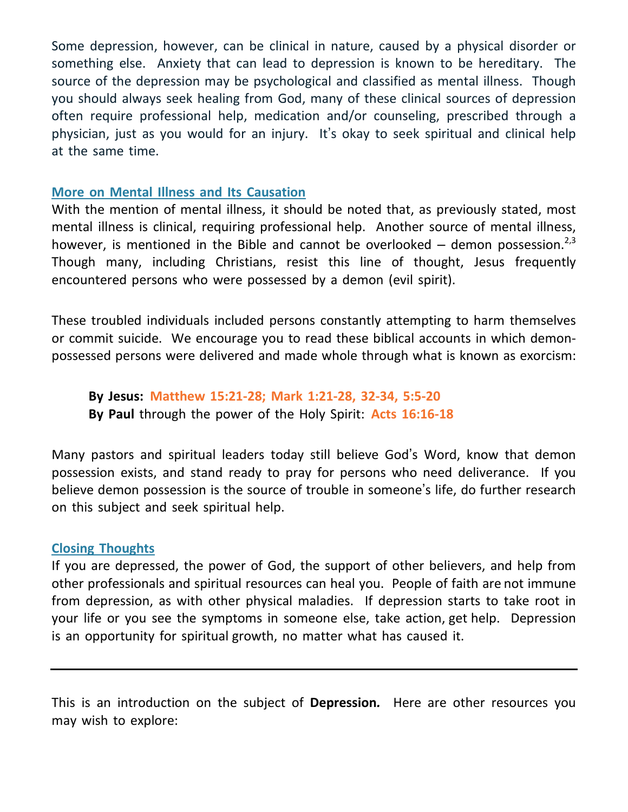Some depression, however, can be clinical in nature, caused by a physical disorder or something else. Anxiety that can lead to depression is known to be hereditary. The source of the depression may be psychological and classified as mental illness. Though you should always seek healing from God, many of these clinical sources of depression often require professional help, medication and/or counseling, prescribed through a physician, just as you would for an injury. It's okay to seek spiritual and clinical help at the same time.

## **More on Mental Illness and Its Causation**

With the mention of mental illness, it should be noted that, as previously stated, most mental illness is clinical, requiring professional help. Another source of mental illness, however, is mentioned in the Bible and cannot be overlooked  $-$  demon possession.<sup>2,3</sup> Though many, including Christians, resist this line of thought, Jesus frequently encountered persons who were possessed by a demon (evil spirit).

These troubled individuals included persons constantly attempting to harm themselves or commit suicide. We encourage you to read these biblical accounts in which demonpossessed persons were delivered and made whole through what is known as exorcism:

**By Jesus: Matthew 15:21-28; Mark 1:21-28, 32-34, 5:5-20 By Paul** through the power of the Holy Spirit: **Acts 16:16-18**

Many pastors and spiritual leaders today still believe God's Word, know that demon possession exists, and stand ready to pray for persons who need deliverance. If you believe demon possession is the source of trouble in someone's life, do further research on this subject and seek spiritual help.

# **Closing Thoughts**

If you are depressed, the power of God, the support of other believers, and help from other professionals and spiritual resources can heal you. People of faith are not immune from depression, as with other physical maladies. If depression starts to take root in your life or you see the symptoms in someone else, take action, get help. Depression is an opportunity for spiritual growth, no matter what has caused it.

This is an introduction on the subject of **Depression***.* Here are other resources you may wish to explore: